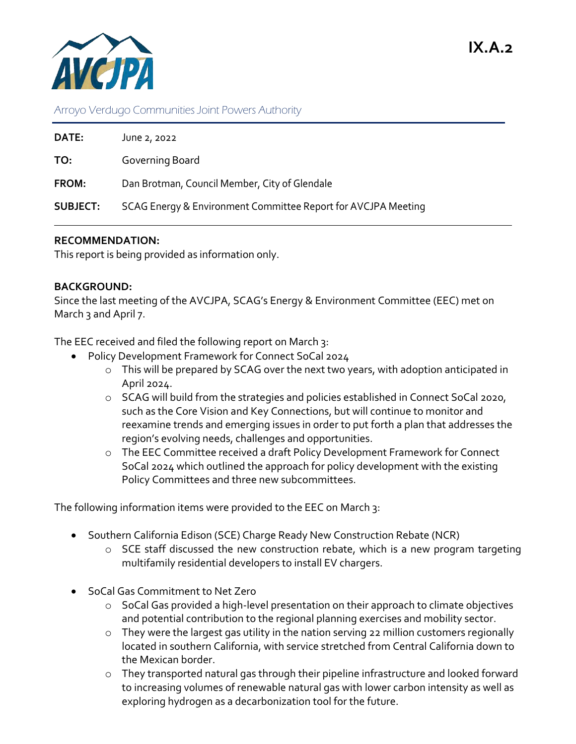## Arroyo Verdugo Communities Joint Powers Authority

| DATE:           | June 2, 2022                                                  |
|-----------------|---------------------------------------------------------------|
| TO:             | Governing Board                                               |
| <b>FROM:</b>    | Dan Brotman, Council Member, City of Glendale                 |
| <b>SUBJECT:</b> | SCAG Energy & Environment Committee Report for AVCJPA Meeting |

## **RECOMMENDATION:**

This report is being provided as information only.

## **BACKGROUND:**

Since the last meeting of the AVCJPA, SCAG's Energy & Environment Committee (EEC) met on March 3 and April 7.

The EEC received and filed the following report on March 3:

- Policy Development Framework for Connect SoCal 2024
	- o This will be prepared by SCAG over the next two years, with adoption anticipated in April 2024.
	- o SCAG will build from the strategies and policies established in Connect SoCal 2020, such as the Core Vision and Key Connections, but will continue to monitor and reexamine trends and emerging issues in order to put forth a plan that addresses the region's evolving needs, challenges and opportunities.
	- o The EEC Committee received a draft Policy Development Framework for Connect SoCal 2024 which outlined the approach for policy development with the existing Policy Committees and three new subcommittees.

The following information items were provided to the EEC on March 3:

- Southern California Edison (SCE) Charge Ready New Construction Rebate (NCR)
	- $\circ$  SCE staff discussed the new construction rebate, which is a new program targeting multifamily residential developers to install EV chargers.
- SoCal Gas Commitment to Net Zero
	- o SoCal Gas provided a high-level presentation on their approach to climate objectives and potential contribution to the regional planning exercises and mobility sector.
	- o They were the largest gas utility in the nation serving 22 million customers regionally located in southern California, with service stretched from Central California down to the Mexican border.
	- o They transported natural gas through their pipeline infrastructure and looked forward to increasing volumes of renewable natural gas with lower carbon intensity as well as exploring hydrogen as a decarbonization tool for the future.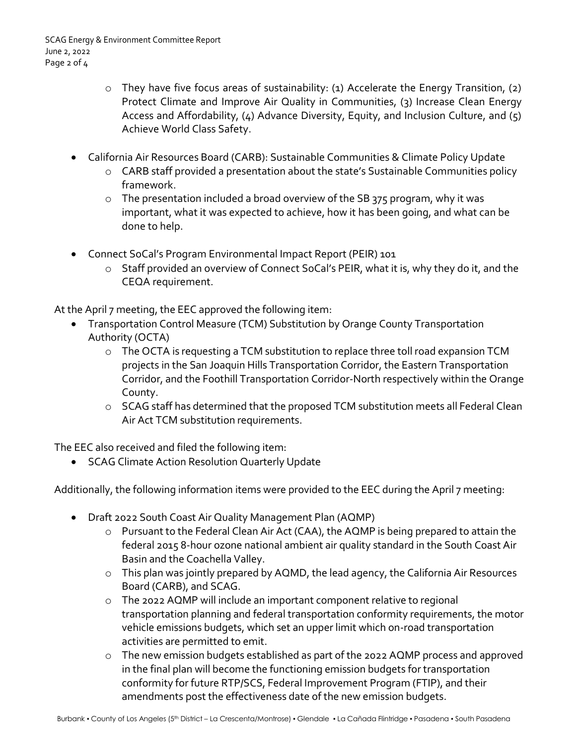- o They have five focus areas of sustainability: (1) Accelerate the Energy Transition, (2) Protect Climate and Improve Air Quality in Communities, (3) Increase Clean Energy Access and Affordability,  $(4)$  Advance Diversity, Equity, and Inclusion Culture, and  $(5)$ Achieve World Class Safety.
- California Air Resources Board (CARB): Sustainable Communities & Climate Policy Update
	- o CARB staff provided a presentation about the state's Sustainable Communities policy framework.
	- o The presentation included a broad overview of the SB 375 program, why it was important, what it was expected to achieve, how it has been going, and what can be done to help.
- Connect SoCal's Program Environmental Impact Report (PEIR) 101
	- o Staff provided an overview of Connect SoCal's PEIR, what it is, why they do it, and the CEQA requirement.

At the April 7 meeting, the EEC approved the following item:

- Transportation Control Measure (TCM) Substitution by Orange County Transportation Authority (OCTA)
	- o The OCTA is requesting a TCM substitution to replace three toll road expansion TCM projects in the San Joaquin Hills Transportation Corridor, the Eastern Transportation Corridor, and the Foothill Transportation Corridor-North respectively within the Orange County.
	- o SCAG staff has determined that the proposed TCM substitution meets all Federal Clean Air Act TCM substitution requirements.

The EEC also received and filed the following item:

SCAG Climate Action Resolution Quarterly Update

Additionally, the following information items were provided to the EEC during the April 7 meeting:

- Draft 2022 South Coast Air Quality Management Plan (AQMP)
	- o Pursuant to the Federal Clean Air Act (CAA), the AQMP is being prepared to attain the federal 2015 8-hour ozone national ambient air quality standard in the South Coast Air Basin and the Coachella Valley.
	- o This plan was jointly prepared by AQMD, the lead agency, the California Air Resources Board (CARB), and SCAG.
	- o The 2022 AQMP will include an important component relative to regional transportation planning and federal transportation conformity requirements, the motor vehicle emissions budgets, which set an upper limit which on-road transportation activities are permitted to emit.
	- o The new emission budgets established as part of the 2022 AQMP process and approved in the final plan will become the functioning emission budgets for transportation conformity for future RTP/SCS, Federal Improvement Program (FTIP), and their amendments post the effectiveness date of the new emission budgets.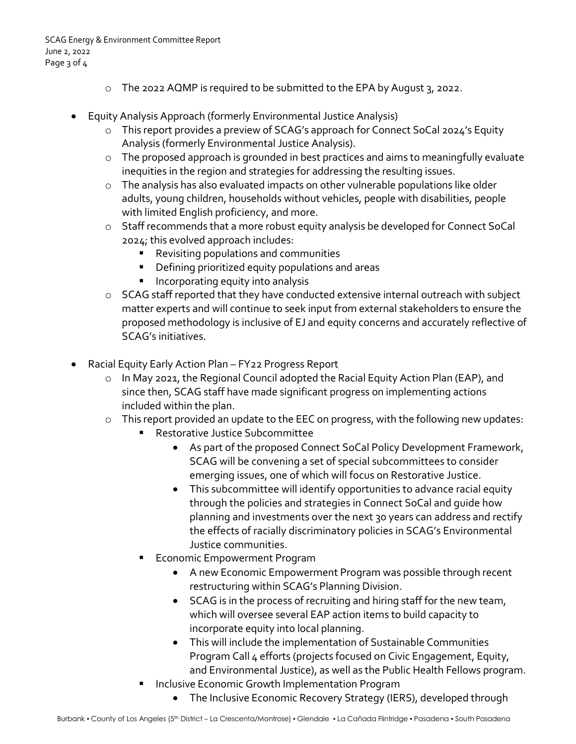- o The 2022 AQMP is required to be submitted to the EPA by August 3, 2022.
- Equity Analysis Approach (formerly Environmental Justice Analysis)
	- o This report provides a preview of SCAG's approach for Connect SoCal 2024's Equity Analysis (formerly Environmental Justice Analysis).
	- o The proposed approach is grounded in best practices and aims to meaningfully evaluate inequities in the region and strategies for addressing the resulting issues.
	- $\circ$  The analysis has also evaluated impacts on other vulnerable populations like older adults, young children, households without vehicles, people with disabilities, people with limited English proficiency, and more.
	- o Staff recommends that a more robust equity analysis be developed for Connect SoCal 2024; this evolved approach includes:
		- **Revisiting populations and communities**
		- **•** Defining prioritized equity populations and areas
		- **Incorporating equity into analysis**
	- o SCAG staff reported that they have conducted extensive internal outreach with subject matter experts and will continue to seek input from external stakeholders to ensure the proposed methodology is inclusive of EJ and equity concerns and accurately reflective of SCAG's initiatives.
- Racial Equity Early Action Plan FY22 Progress Report
	- o In May 2021, the Regional Council adopted the Racial Equity Action Plan (EAP), and since then, SCAG staff have made significant progress on implementing actions included within the plan.
	- o This report provided an update to the EEC on progress, with the following new updates:
		- **Restorative Justice Subcommittee** 
			- As part of the proposed Connect SoCal Policy Development Framework, SCAG will be convening a set of special subcommittees to consider emerging issues, one of which will focus on Restorative Justice.
			- This subcommittee will identify opportunities to advance racial equity through the policies and strategies in Connect SoCal and guide how planning and investments over the next 30 years can address and rectify the effects of racially discriminatory policies in SCAG's Environmental Justice communities.
		- Economic Empowerment Program
			- A new Economic Empowerment Program was possible through recent restructuring within SCAG's Planning Division.
			- SCAG is in the process of recruiting and hiring staff for the new team, which will oversee several EAP action items to build capacity to incorporate equity into local planning.
			- This will include the implementation of Sustainable Communities Program Call 4 efforts (projects focused on Civic Engagement, Equity, and Environmental Justice), as well as the Public Health Fellows program.
		- Inclusive Economic Growth Implementation Program
			- The Inclusive Economic Recovery Strategy (IERS), developed through